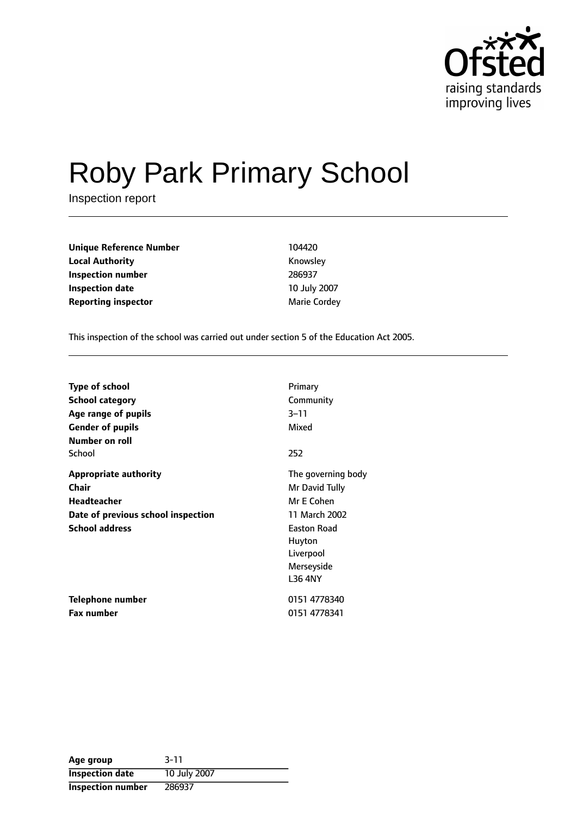

# Roby Park Primary School

Inspection report

| <b>Unique Reference Number</b> | 104420              |
|--------------------------------|---------------------|
| <b>Local Authority</b>         | Knowsley            |
| Inspection number              | 286937              |
| <b>Inspection date</b>         | 10 July 2007        |
| <b>Reporting inspector</b>     | <b>Marie Cordey</b> |

This inspection of the school was carried out under section 5 of the Education Act 2005.

| <b>Type of school</b>              | Primary            |
|------------------------------------|--------------------|
| <b>School category</b>             | Community          |
| Age range of pupils                | $3 - 11$           |
| <b>Gender of pupils</b>            | Mixed              |
| Number on roll                     |                    |
| School                             | 252                |
| <b>Appropriate authority</b>       | The governing body |
| Chair                              | Mr David Tully     |
| <b>Headteacher</b>                 | Mr E Cohen         |
| Date of previous school inspection | 11 March 2002      |
| <b>School address</b>              | <b>Easton Road</b> |
|                                    | Huyton             |
|                                    | Liverpool          |
|                                    | Merseyside         |
|                                    | <b>L36 4NY</b>     |
| Telephone number                   | 0151 4778340       |
| Fax number                         | 0151 4778341       |

| Age group              | $3 - 11$     |
|------------------------|--------------|
| <b>Inspection date</b> | 10 July 2007 |
| Inspection number      | 286937       |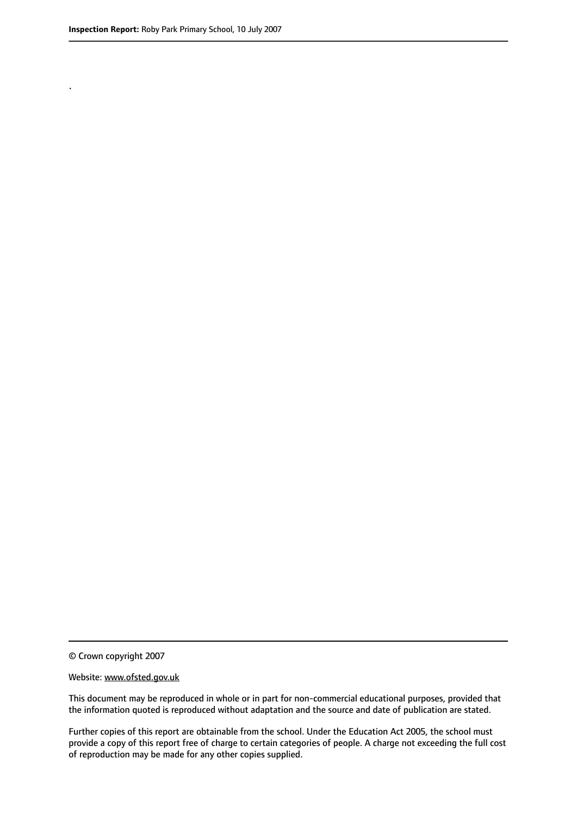.

© Crown copyright 2007

#### Website: www.ofsted.gov.uk

This document may be reproduced in whole or in part for non-commercial educational purposes, provided that the information quoted is reproduced without adaptation and the source and date of publication are stated.

Further copies of this report are obtainable from the school. Under the Education Act 2005, the school must provide a copy of this report free of charge to certain categories of people. A charge not exceeding the full cost of reproduction may be made for any other copies supplied.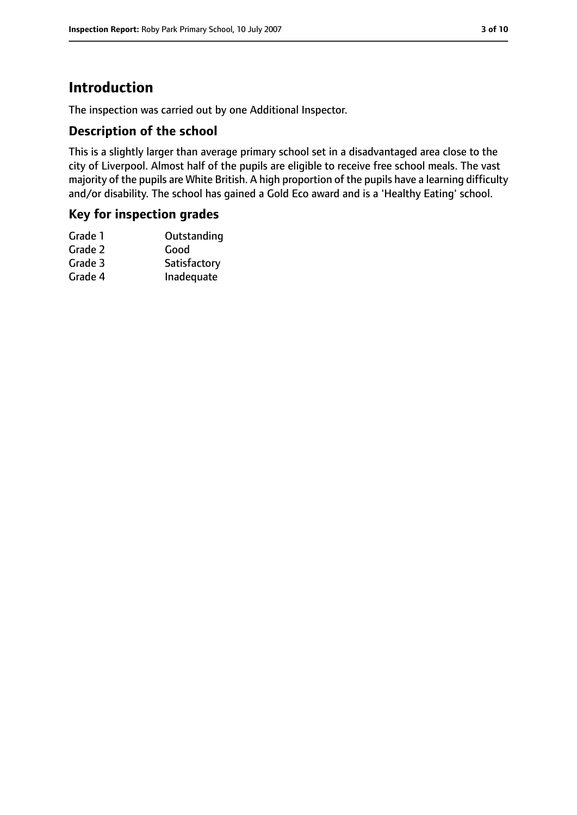## **Introduction**

The inspection was carried out by one Additional Inspector.

### **Description of the school**

This is a slightly larger than average primary school set in a disadvantaged area close to the city of Liverpool. Almost half of the pupils are eligible to receive free school meals. The vast majority of the pupils are White British. A high proportion of the pupils have a learning difficulty and/or disability. The school has gained a Gold Eco award and is a 'Healthy Eating' school.

#### **Key for inspection grades**

| Grade 1 | Outstanding  |
|---------|--------------|
| Grade 2 | Good         |
| Grade 3 | Satisfactory |
| Grade 4 | Inadequate   |
|         |              |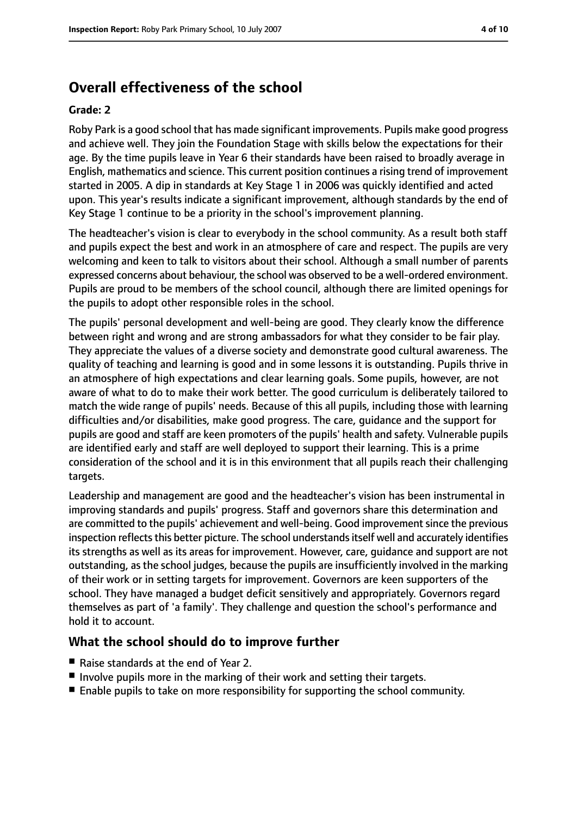# **Overall effectiveness of the school**

#### **Grade: 2**

Roby Park is a good school that has made significant improvements. Pupils make good progress and achieve well. They join the Foundation Stage with skills below the expectations for their age. By the time pupils leave in Year 6 their standards have been raised to broadly average in English, mathematics and science. This current position continues a rising trend of improvement started in 2005. A dip in standards at Key Stage 1 in 2006 was quickly identified and acted upon. This year's results indicate a significant improvement, although standards by the end of Key Stage 1 continue to be a priority in the school's improvement planning.

The headteacher's vision is clear to everybody in the school community. As a result both staff and pupils expect the best and work in an atmosphere of care and respect. The pupils are very welcoming and keen to talk to visitors about their school. Although a small number of parents expressed concerns about behaviour, the school was observed to be a well-ordered environment. Pupils are proud to be members of the school council, although there are limited openings for the pupils to adopt other responsible roles in the school.

The pupils' personal development and well-being are good. They clearly know the difference between right and wrong and are strong ambassadors for what they consider to be fair play. They appreciate the values of a diverse society and demonstrate good cultural awareness. The quality of teaching and learning is good and in some lessons it is outstanding. Pupils thrive in an atmosphere of high expectations and clear learning goals. Some pupils, however, are not aware of what to do to make their work better. The good curriculum is deliberately tailored to match the wide range of pupils' needs. Because of this all pupils, including those with learning difficulties and/or disabilities, make good progress. The care, guidance and the support for pupils are good and staff are keen promoters of the pupils' health and safety. Vulnerable pupils are identified early and staff are well deployed to support their learning. This is a prime consideration of the school and it is in this environment that all pupils reach their challenging targets.

Leadership and management are good and the headteacher's vision has been instrumental in improving standards and pupils' progress. Staff and governors share this determination and are committed to the pupils' achievement and well-being. Good improvement since the previous inspection reflects this better picture. The school understands itself well and accurately identifies its strengths as well as its areas for improvement. However, care, guidance and support are not outstanding, as the school judges, because the pupils are insufficiently involved in the marking of their work or in setting targets for improvement. Governors are keen supporters of the school. They have managed a budget deficit sensitively and appropriately. Governors regard themselves as part of 'a family'. They challenge and question the school's performance and hold it to account.

#### **What the school should do to improve further**

- Raise standards at the end of Year 2.
- Involve pupils more in the marking of their work and setting their targets.
- Enable pupils to take on more responsibility for supporting the school community.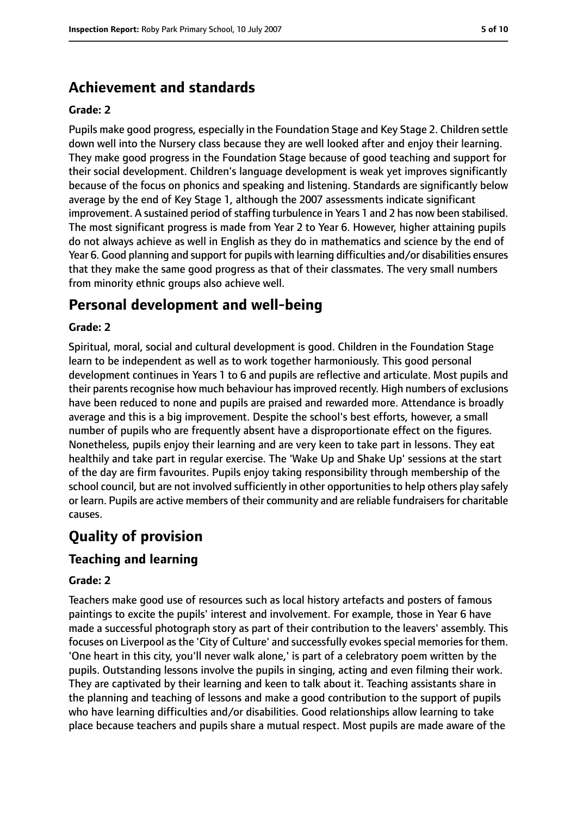## **Achievement and standards**

#### **Grade: 2**

Pupils make good progress, especially in the Foundation Stage and Key Stage 2. Children settle down well into the Nursery class because they are well looked after and enjoy their learning. They make good progress in the Foundation Stage because of good teaching and support for their social development. Children's language development is weak yet improves significantly because of the focus on phonics and speaking and listening. Standards are significantly below average by the end of Key Stage 1, although the 2007 assessments indicate significant improvement. A sustained period of staffing turbulence in Years 1 and 2 has now been stabilised. The most significant progress is made from Year 2 to Year 6. However, higher attaining pupils do not always achieve as well in English as they do in mathematics and science by the end of Year 6. Good planning and support for pupils with learning difficulties and/or disabilities ensures that they make the same good progress as that of their classmates. The very small numbers from minority ethnic groups also achieve well.

## **Personal development and well-being**

#### **Grade: 2**

Spiritual, moral, social and cultural development is good. Children in the Foundation Stage learn to be independent as well as to work together harmoniously. This good personal development continues in Years 1 to 6 and pupils are reflective and articulate. Most pupils and their parents recognise how much behaviour has improved recently. High numbers of exclusions have been reduced to none and pupils are praised and rewarded more. Attendance is broadly average and this is a big improvement. Despite the school's best efforts, however, a small number of pupils who are frequently absent have a disproportionate effect on the figures. Nonetheless, pupils enjoy their learning and are very keen to take part in lessons. They eat healthily and take part in regular exercise. The 'Wake Up and Shake Up' sessions at the start of the day are firm favourites. Pupils enjoy taking responsibility through membership of the school council, but are not involved sufficiently in other opportunities to help others play safely or learn. Pupils are active members of their community and are reliable fundraisers for charitable causes.

## **Quality of provision**

#### **Teaching and learning**

#### **Grade: 2**

Teachers make good use of resources such as local history artefacts and posters of famous paintings to excite the pupils' interest and involvement. For example, those in Year 6 have made a successful photograph story as part of their contribution to the leavers' assembly. This focuses on Liverpool as the 'City of Culture' and successfully evokes special memories for them. 'One heart in this city, you'll never walk alone,' is part of a celebratory poem written by the pupils. Outstanding lessons involve the pupils in singing, acting and even filming their work. They are captivated by their learning and keen to talk about it. Teaching assistants share in the planning and teaching of lessons and make a good contribution to the support of pupils who have learning difficulties and/or disabilities. Good relationships allow learning to take place because teachers and pupils share a mutual respect. Most pupils are made aware of the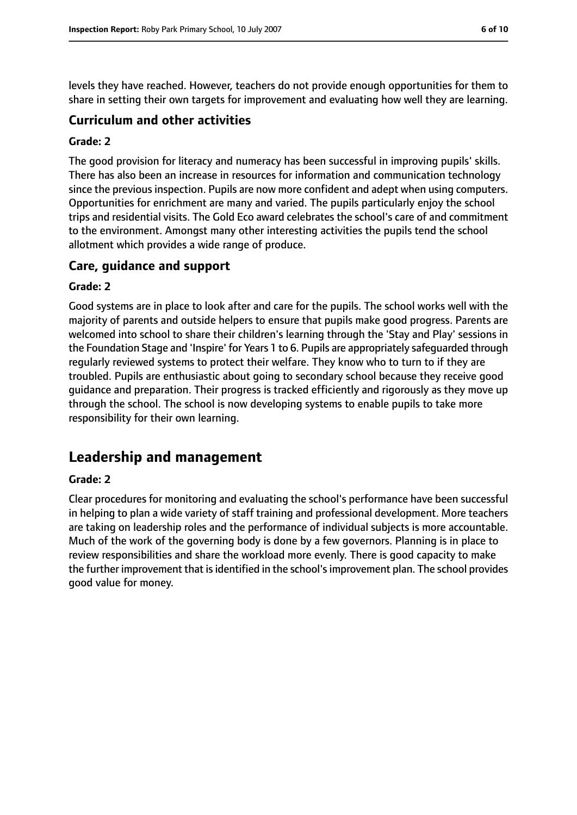levels they have reached. However, teachers do not provide enough opportunities for them to share in setting their own targets for improvement and evaluating how well they are learning.

#### **Curriculum and other activities**

#### **Grade: 2**

The good provision for literacy and numeracy has been successful in improving pupils' skills. There has also been an increase in resources for information and communication technology since the previous inspection. Pupils are now more confident and adept when using computers. Opportunities for enrichment are many and varied. The pupils particularly enjoy the school trips and residential visits. The Gold Eco award celebrates the school's care of and commitment to the environment. Amongst many other interesting activities the pupils tend the school allotment which provides a wide range of produce.

#### **Care, guidance and support**

#### **Grade: 2**

Good systems are in place to look after and care for the pupils. The school works well with the majority of parents and outside helpers to ensure that pupils make good progress. Parents are welcomed into school to share their children's learning through the 'Stay and Play' sessions in the Foundation Stage and 'Inspire' for Years 1 to 6. Pupils are appropriately safeguarded through regularly reviewed systems to protect their welfare. They know who to turn to if they are troubled. Pupils are enthusiastic about going to secondary school because they receive good guidance and preparation. Their progress is tracked efficiently and rigorously as they move up through the school. The school is now developing systems to enable pupils to take more responsibility for their own learning.

## **Leadership and management**

#### **Grade: 2**

Clear procedures for monitoring and evaluating the school's performance have been successful in helping to plan a wide variety of staff training and professional development. More teachers are taking on leadership roles and the performance of individual subjects is more accountable. Much of the work of the governing body is done by a few governors. Planning is in place to review responsibilities and share the workload more evenly. There is good capacity to make the further improvement that is identified in the school's improvement plan. The school provides good value for money.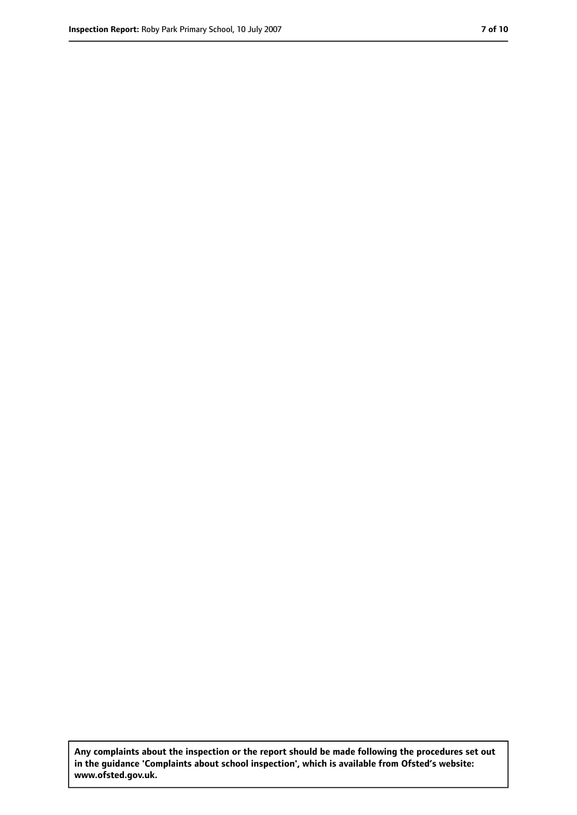**Any complaints about the inspection or the report should be made following the procedures set out in the guidance 'Complaints about school inspection', which is available from Ofsted's website: www.ofsted.gov.uk.**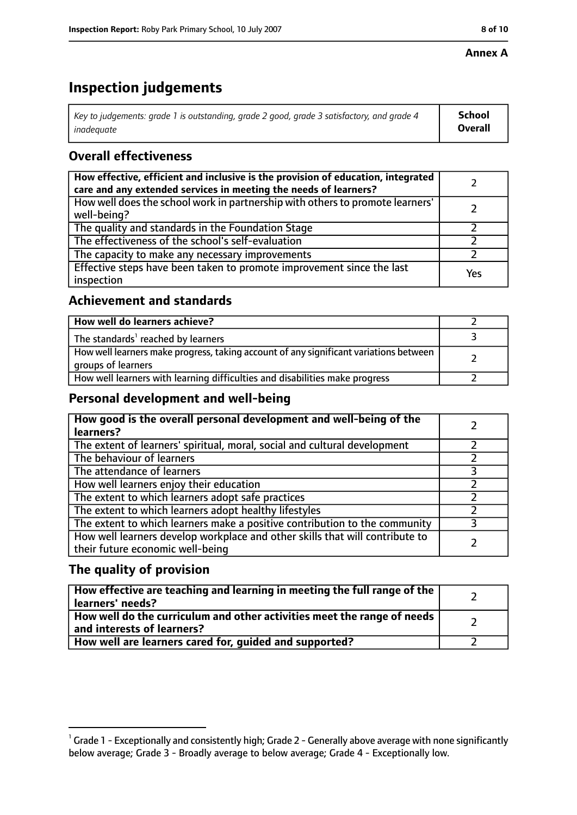#### **Annex A**

# **Inspection judgements**

| Key to judgements: grade 1 is outstanding, grade 2 good, grade 3 satisfactory, and grade 4 $\,$ | <b>School</b>  |
|-------------------------------------------------------------------------------------------------|----------------|
| inadequate                                                                                      | <b>Overall</b> |

## **Overall effectiveness**

| How effective, efficient and inclusive is the provision of education, integrated<br>care and any extended services in meeting the needs of learners? |     |
|------------------------------------------------------------------------------------------------------------------------------------------------------|-----|
| How well does the school work in partnership with others to promote learners'<br>well-being?                                                         |     |
| The quality and standards in the Foundation Stage                                                                                                    |     |
| The effectiveness of the school's self-evaluation                                                                                                    |     |
| The capacity to make any necessary improvements                                                                                                      |     |
| Effective steps have been taken to promote improvement since the last<br>inspection                                                                  | Yes |

## **Achievement and standards**

| How well do learners achieve?                                                                               |  |
|-------------------------------------------------------------------------------------------------------------|--|
| The standards <sup>1</sup> reached by learners                                                              |  |
| How well learners make progress, taking account of any significant variations between<br>groups of learners |  |
| How well learners with learning difficulties and disabilities make progress                                 |  |

## **Personal development and well-being**

| How good is the overall personal development and well-being of the<br>learners?                                  |  |
|------------------------------------------------------------------------------------------------------------------|--|
| The extent of learners' spiritual, moral, social and cultural development                                        |  |
| The behaviour of learners                                                                                        |  |
| The attendance of learners                                                                                       |  |
| How well learners enjoy their education                                                                          |  |
| The extent to which learners adopt safe practices                                                                |  |
| The extent to which learners adopt healthy lifestyles                                                            |  |
| The extent to which learners make a positive contribution to the community                                       |  |
| How well learners develop workplace and other skills that will contribute to<br>their future economic well-being |  |

## **The quality of provision**

| How effective are teaching and learning in meeting the full range of the<br>learners' needs?          |  |
|-------------------------------------------------------------------------------------------------------|--|
| How well do the curriculum and other activities meet the range of needs<br>and interests of learners? |  |
| How well are learners cared for, guided and supported?                                                |  |

 $^1$  Grade 1 - Exceptionally and consistently high; Grade 2 - Generally above average with none significantly below average; Grade 3 - Broadly average to below average; Grade 4 - Exceptionally low.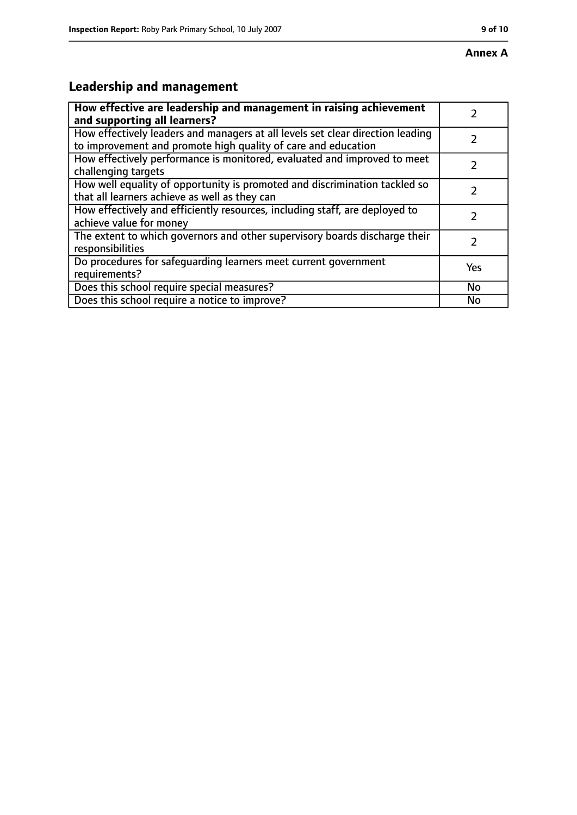# **Leadership and management**

| How effective are leadership and management in raising achievement                                                                              |               |
|-------------------------------------------------------------------------------------------------------------------------------------------------|---------------|
| and supporting all learners?                                                                                                                    |               |
| How effectively leaders and managers at all levels set clear direction leading<br>to improvement and promote high quality of care and education |               |
| How effectively performance is monitored, evaluated and improved to meet<br>challenging targets                                                 |               |
| How well equality of opportunity is promoted and discrimination tackled so<br>that all learners achieve as well as they can                     |               |
| How effectively and efficiently resources, including staff, are deployed to<br>achieve value for money                                          | 7             |
| The extent to which governors and other supervisory boards discharge their<br>responsibilities                                                  | $\mathcal{L}$ |
| Do procedures for safequarding learners meet current government<br>requirements?                                                                | Yes           |
| Does this school require special measures?                                                                                                      | No            |
| Does this school require a notice to improve?                                                                                                   | No            |